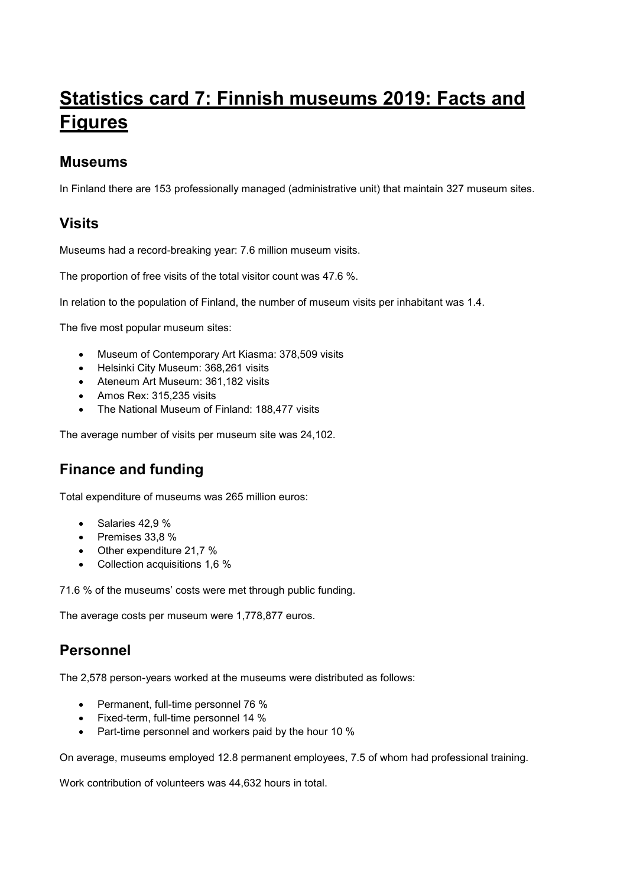# **Statistics card 7: Finnish museums 2019: Facts and Figures**

#### **Museums**

In Finland there are 153 professionally managed (administrative unit) that maintain 327 museum sites.

## **Visits**

Museums had a record-breaking year: 7.6 million museum visits.

The proportion of free visits of the total visitor count was 47.6 %.

In relation to the population of Finland, the number of museum visits per inhabitant was 1.4.

The five most popular museum sites:

- Museum of Contemporary Art Kiasma: 378,509 visits
- Helsinki City Museum: 368,261 visits
- Ateneum Art Museum: 361,182 visits
- Amos Rex: 315,235 visits
- The National Museum of Finland: 188,477 visits

The average number of visits per museum site was 24,102.

# **Finance and funding**

Total expenditure of museums was 265 million euros:

- $\bullet$  Salaries 42,9 %
- $\bullet$  Premises 33.8 %
- Other expenditure 21,7 %
- Collection acquisitions 1,6 %

71.6 % of the museums' costs were met through public funding.

The average costs per museum were 1,778,877 euros.

# **Personnel**

The 2,578 person-years worked at the museums were distributed as follows:

- Permanent, full-time personnel 76 %
- Fixed-term, full-time personnel 14 %
- Part-time personnel and workers paid by the hour 10 %

On average, museums employed 12.8 permanent employees, 7.5 of whom had professional training.

Work contribution of volunteers was 44,632 hours in total.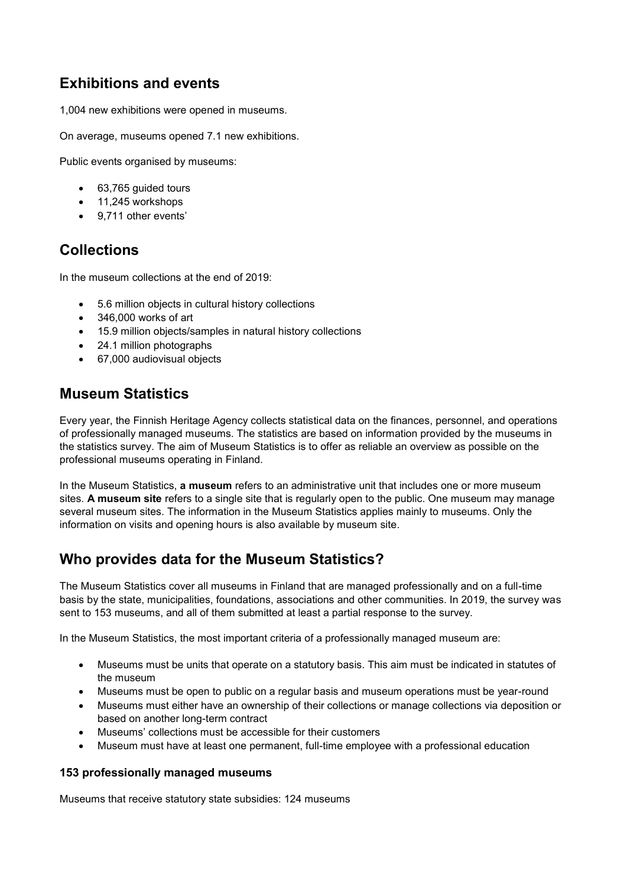# **Exhibitions and events**

1,004 new exhibitions were opened in museums.

On average, museums opened 7.1 new exhibitions.

Public events organised by museums:

- 63,765 guided tours
- 11,245 workshops
- 9.711 other events'

## **Collections**

In the museum collections at the end of 2019:

- 5.6 million objects in cultural history collections
- 346,000 works of art
- 15.9 million objects/samples in natural history collections
- 24.1 million photographs
- 67,000 audiovisual objects

#### **Museum Statistics**

Every year, the Finnish Heritage Agency collects statistical data on the finances, personnel, and operations of professionally managed museums. The statistics are based on information provided by the museums in the statistics survey. The aim of Museum Statistics is to offer as reliable an overview as possible on the professional museums operating in Finland.

In the Museum Statistics, **a museum** refers to an administrative unit that includes one or more museum sites. **A museum site** refers to a single site that is regularly open to the public. One museum may manage several museum sites. The information in the Museum Statistics applies mainly to museums. Only the information on visits and opening hours is also available by museum site.

#### **Who provides data for the Museum Statistics?**

The Museum Statistics cover all museums in Finland that are managed professionally and on a full-time basis by the state, municipalities, foundations, associations and other communities. In 2019, the survey was sent to 153 museums, and all of them submitted at least a partial response to the survey.

In the Museum Statistics, the most important criteria of a professionally managed museum are:

- Museums must be units that operate on a statutory basis. This aim must be indicated in statutes of the museum
- Museums must be open to public on a regular basis and museum operations must be year-round
- Museums must either have an ownership of their collections or manage collections via deposition or based on another long-term contract
- Museums' collections must be accessible for their customers
- Museum must have at least one permanent, full-time employee with a professional education

#### **153 professionally managed museums**

Museums that receive statutory state subsidies: 124 museums